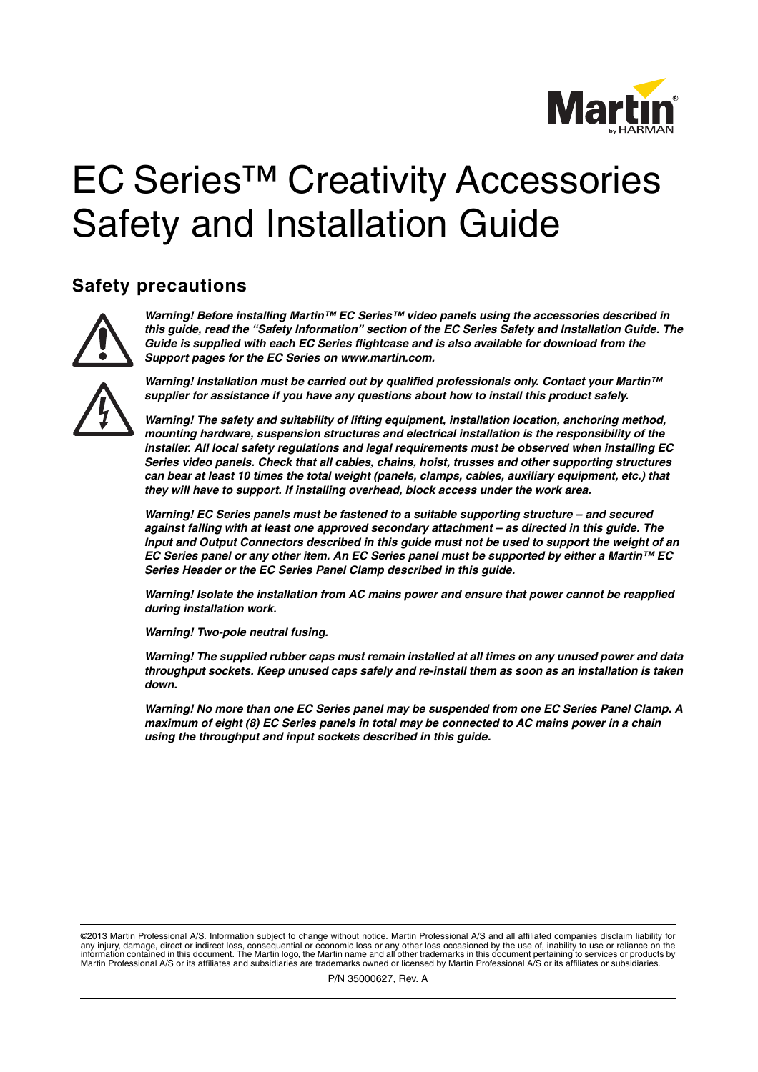

# EC Series™ Creativity Accessories Safety and Installation Guide

### <span id="page-0-0"></span>**Safety precautions**



*Warning! Before installing Martin™ EC Series™ video panels using the accessories described in this guide, read the "Safety Information" section of the EC Series Safety and Installation Guide. The Guide is supplied with each EC Series flightcase and is also available for download from the Support pages for the EC Series on www.martin.com.*



*Warning! Installation must be carried out by qualified professionals only. Contact your Martin™ supplier for assistance if you have any questions about how to install this product safely.*

*Warning! The safety and suitability of lifting equipment, installation location, anchoring method, mounting hardware, suspension structures and electrical installation is the responsibility of the installer. All local safety regulations and legal requirements must be observed when installing EC Series video panels. Check that all cables, chains, hoist, trusses and other supporting structures can bear at least 10 times the total weight (panels, clamps, cables, auxiliary equipment, etc.) that they will have to support. If installing overhead, block access under the work area.* 

*Warning! EC Series panels must be fastened to a suitable supporting structure – and secured against falling with at least one approved secondary attachment – as directed in this guide. The Input and Output Connectors described in this guide must not be used to support the weight of an EC Series panel or any other item. An EC Series panel must be supported by either a Martin™ EC Series Header or the EC Series Panel Clamp described in this guide.*

*Warning! Isolate the installation from AC mains power and ensure that power cannot be reapplied during installation work.* 

*Warning! Two-pole neutral fusing.*

*Warning! The supplied rubber caps must remain installed at all times on any unused power and data throughput sockets. Keep unused caps safely and re-install them as soon as an installation is taken down.*

*Warning! No more than one EC Series panel may be suspended from one EC Series Panel Clamp. A maximum of eight (8) EC Series panels in total may be connected to AC mains power in a chain using the throughput and input sockets described in this guide.*

©2013 Martin Professional A/S. Information subject to change without notice. Martin Professional A/S and all affiliated companies disclaim liability for any injury, damage, direct or indirect loss, consequential or economic loss or any other loss occasioned by the use of, inability to use or reliance on the<br>information contained in this document. The Martin logo, the Marti Martin Professional A/S or its affiliates and subsidiaries are trademarks owned or licensed by Martin Professional A/S or its affiliates or subsidiaries.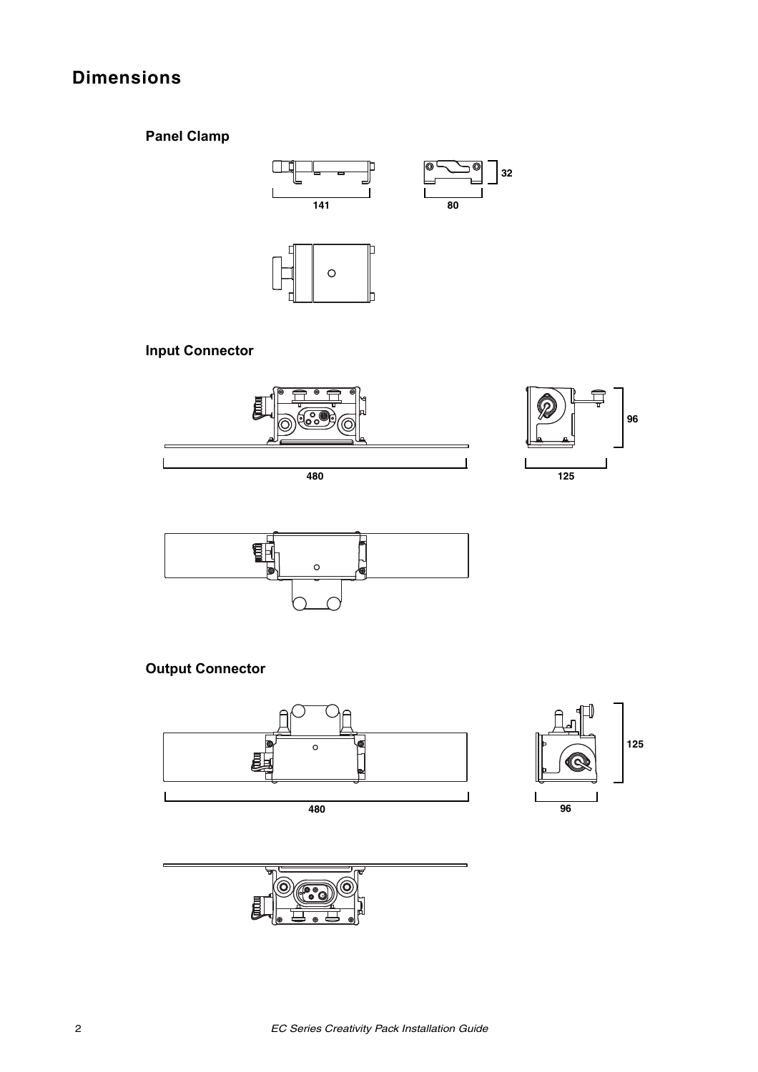# **Dimensions**

# **Panel Clamp**



# **Input Connector**





# **Output Connector**



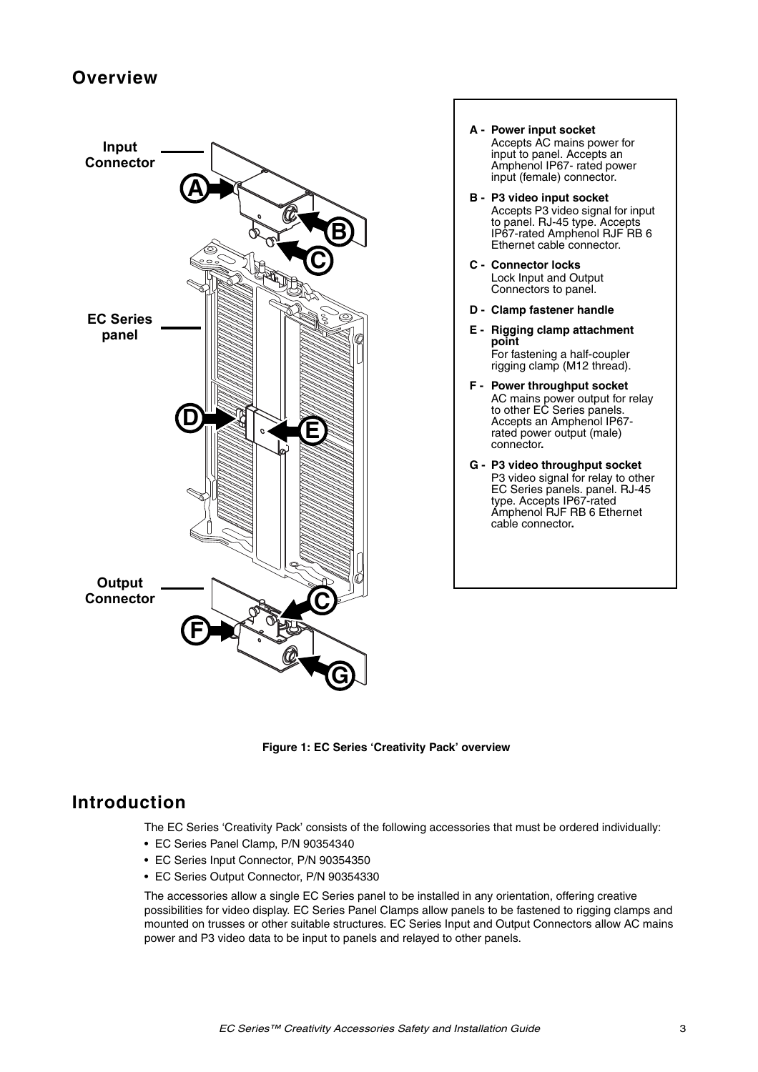# **Overview**



- **A Power input socket** Accepts AC mains power for input to panel. Accepts an Amphenol IP67- rated power input (female) connector.
- **B P3 video input socket** Accepts P3 video signal for input to panel. RJ-45 type. Accepts IP67-rated Amphenol RJF RB 6 Ethernet cable connector.
- **C Connector locks** Lock Input and Output Connectors to panel.
- **D Clamp fastener handle**
- **E Rigging clamp attachment point** For fastening a half-coupler rigging clamp (M12 thread).
- **F Power throughput socket** AC mains power output for relay to other EC Series panels. Accepts an Amphenol IP67 rated power output (male) connector**.**
- **G P3 video throughput socket** P3 video signal for relay to other EC Series panels. panel. RJ-45 type. Accepts IP67-rated Amphenol RJF RB 6 Ethernet cable connector**.**

**Figure 1: EC Series 'Creativity Pack' overview**

### <span id="page-2-0"></span>**Introduction**

The EC Series 'Creativity Pack' consists of the following accessories that must be ordered individually:

- EC Series Panel Clamp, P/N 90354340
- EC Series Input Connector, P/N 90354350
- EC Series Output Connector, P/N 90354330

The accessories allow a single EC Series panel to be installed in any orientation, offering creative possibilities for video display. EC Series Panel Clamps allow panels to be fastened to rigging clamps and mounted on trusses or other suitable structures. EC Series Input and Output Connectors allow AC mains power and P3 video data to be input to panels and relayed to other panels.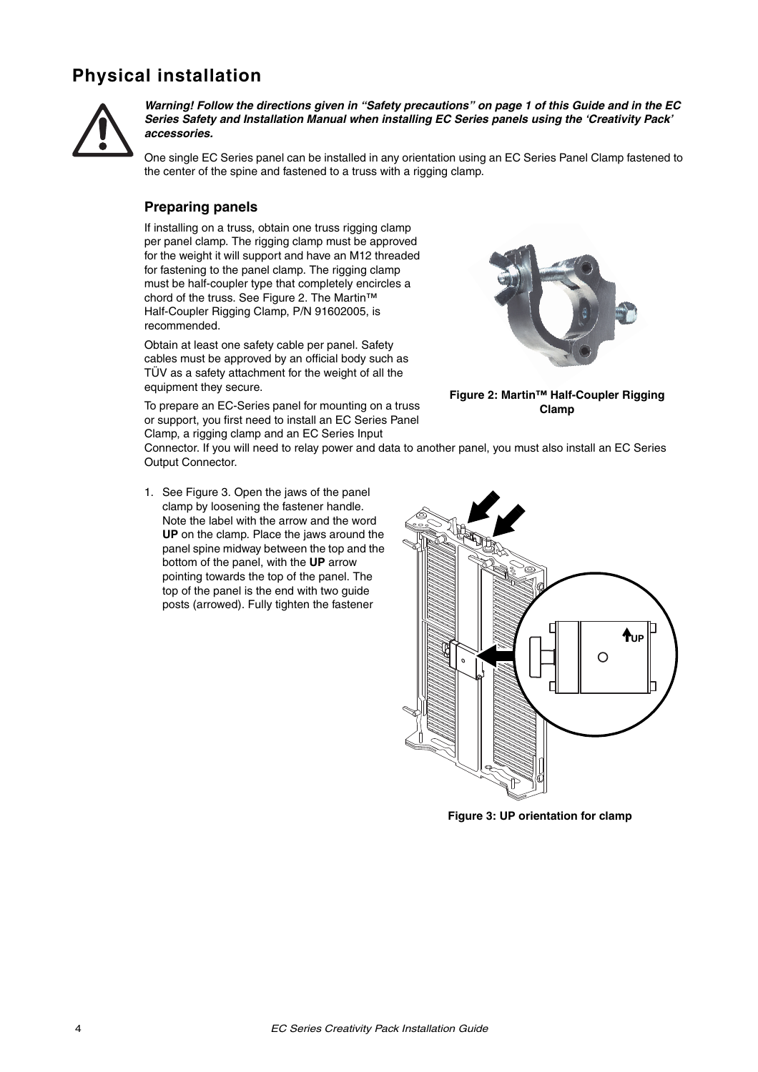# **Physical installation**



*Warning! Follow the directions given in ["Safety precautions"](#page-0-0) on page [1](#page-0-0) of this Guide and in the EC Series Safety and Installation Manual when installing EC Series panels using the 'Creativity Pack' accessories.*

One single EC Series panel can be installed in any orientation using an EC Series Panel Clamp fastened to the center of the spine and fastened to a truss with a rigging clamp.

#### **Preparing panels**

If installing on a truss, obtain one truss rigging clamp per panel clamp. The rigging clamp must be approved for the weight it will support and have an M12 threaded for fastening to the panel clamp. The rigging clamp must be half-coupler type that completely encircles a chord of the truss. See [Figure 2](#page-3-0). The Martin™ Half-Coupler Rigging Clamp, P/N 91602005, is recommended.

Obtain at least one safety cable per panel. Safety cables must be approved by an official body such as TÜV as a safety attachment for the weight of all the equipment they secure.



**Figure 2: Martin™ Half-Coupler Rigging Clamp**

To prepare an EC-Series panel for mounting on a truss or support, you first need to install an EC Series Panel Clamp, a rigging clamp and an EC Series Input

Connector. If you will need to relay power and data to another panel, you must also install an EC Series Output Connector.

1. See [Figure 3.](#page-3-1) Open the jaws of the panel clamp by loosening the fastener handle. Note the label with the arrow and the word **UP** on the clamp. Place the jaws around the panel spine midway between the top and the bottom of the panel, with the **UP** arrow pointing towards the top of the panel. The top of the panel is the end with two guide posts (arrowed). Fully tighten the fastener

<span id="page-3-0"></span>

<span id="page-3-1"></span>**Figure 3: UP orientation for clamp**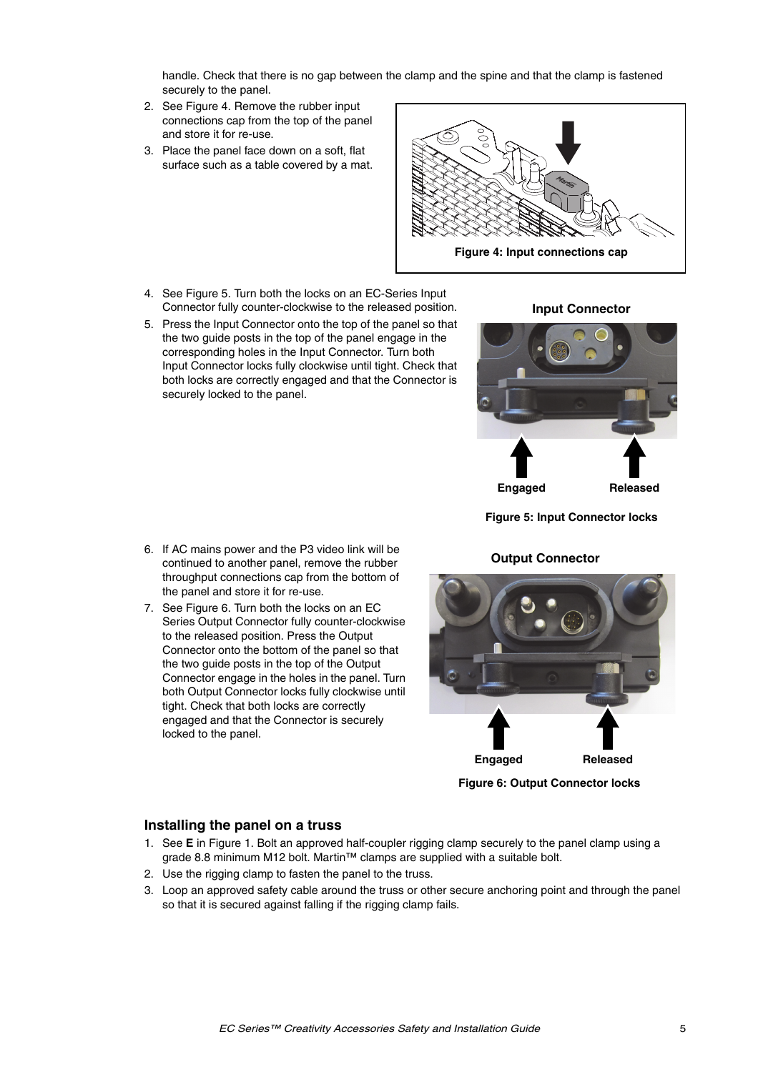handle. Check that there is no gap between the clamp and the spine and that the clamp is fastened securely to the panel.

- 2. See [Figure 4.](#page-4-0) Remove the rubber input connections cap from the top of the panel and store it for re-use.
- 3. Place the panel face down on a soft, flat surface such as a table covered by a mat.



- 4. See [Figure 5.](#page-4-1) Turn both the locks on an EC-Series Input Connector fully counter-clockwise to the released position.
- 5. Press the Input Connector onto the top of the panel so that the two guide posts in the top of the panel engage in the corresponding holes in the Input Connector. Turn both Input Connector locks fully clockwise until tight. Check that both locks are correctly engaged and that the Connector is securely locked to the panel.

6. If AC mains power and the P3 video link will be continued to another panel, remove the rubber throughput connections cap from the bottom of

Series Output Connector fully counter-clockwise to the released position. Press the Output Connector onto the bottom of the panel so that the two guide posts in the top of the Output Connector engage in the holes in the panel. Turn both Output Connector locks fully clockwise until tight. Check that both locks are correctly engaged and that the Connector is securely

the panel and store it for re-use. 7. See [Figure 6.](#page-4-2) Turn both the locks on an EC

#### **Input Connector**

<span id="page-4-0"></span>

<span id="page-4-1"></span>**Figure 5: Input Connector locks**

#### **Output Connector**

<span id="page-4-2"></span>

**Figure 6: Output Connector locks**

#### **Installing the panel on a truss**

locked to the panel.

- 1. See **E** in [Figure 1.](#page-2-0) Bolt an approved half-coupler rigging clamp securely to the panel clamp using a grade 8.8 minimum M12 bolt. Martin™ clamps are supplied with a suitable bolt.
- 2. Use the rigging clamp to fasten the panel to the truss.
- 3. Loop an approved safety cable around the truss or other secure anchoring point and through the panel so that it is secured against falling if the rigging clamp fails.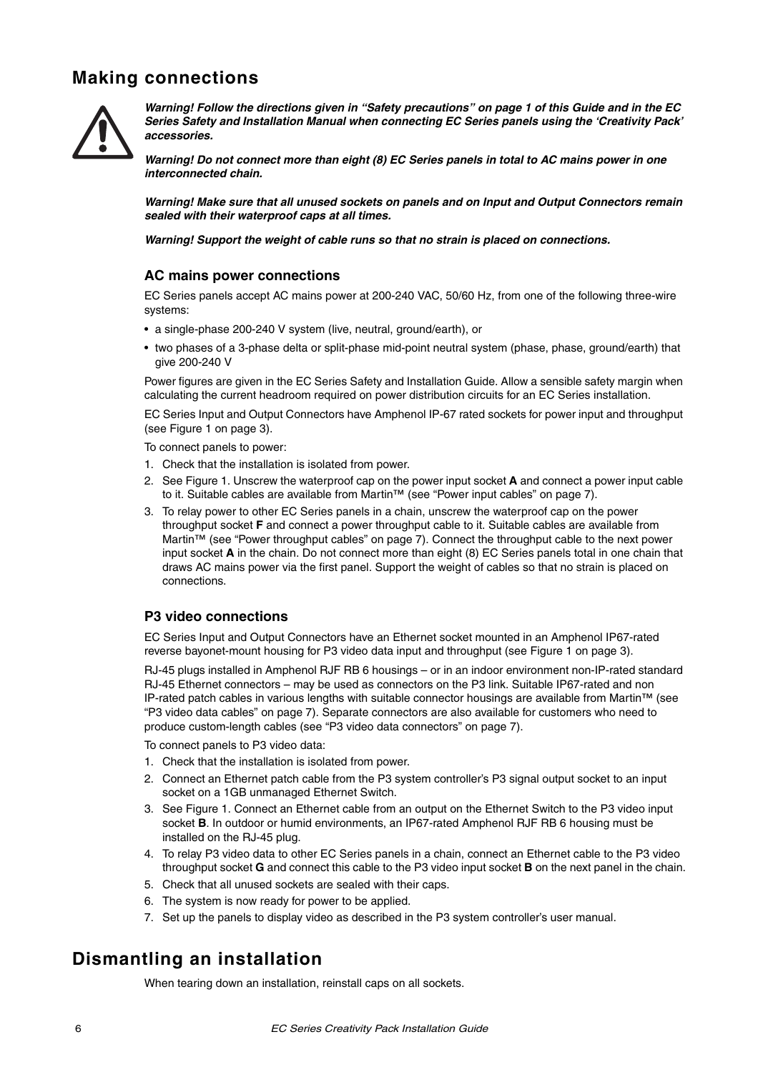# **Making connections**



*Warning! Follow the directions given in ["Safety precautions"](#page-0-0) on page [1](#page-0-0) of this Guide and in the EC Series Safety and Installation Manual when connecting EC Series panels using the 'Creativity Pack' accessories.*

*Warning! Do not connect more than eight (8) EC Series panels in total to AC mains power in one interconnected chain.*

*Warning! Make sure that all unused sockets on panels and on Input and Output Connectors remain sealed with their waterproof caps at all times.*

*Warning! Support the weight of cable runs so that no strain is placed on connections.*

#### **AC mains power connections**

EC Series panels accept AC mains power at 200-240 VAC, 50/60 Hz, from one of the following three-wire systems:

- a single-phase 200-240 V system (live, neutral, ground/earth), or
- two phases of a 3-phase delta or split-phase mid-point neutral system (phase, phase, ground/earth) that give 200-240 V

Power figures are given in the EC Series Safety and Installation Guide. Allow a sensible safety margin when calculating the current headroom required on power distribution circuits for an EC Series installation.

EC Series Input and Output Connectors have Amphenol IP-67 rated sockets for power input and throughput (see [Figure 1](#page-2-0) on page [3\)](#page-2-0).

To connect panels to power:

- 1. Check that the installation is isolated from power.
- 2. See [Figure 1](#page-2-0). Unscrew the waterproof cap on the power input socket **A** and connect a power input cable to it. Suitable cables are available from Martin™ (see ["Power input cables" on page](#page-6-1) 7).
- 3. To relay power to other EC Series panels in a chain, unscrew the waterproof cap on the power throughput socket **F** and connect a power throughput cable to it. Suitable cables are available from Martin™ (see ["Power throughput cables" on page](#page-6-0) 7). Connect the throughput cable to the next power input socket **A** in the chain. Do not connect more than eight (8) EC Series panels total in one chain that draws AC mains power via the first panel. Support the weight of cables so that no strain is placed on connections.

#### **P3 video connections**

EC Series Input and Output Connectors have an Ethernet socket mounted in an Amphenol IP67-rated reverse bayonet-mount housing for P3 video data input and throughput (see [Figure 1](#page-2-0) on page [3\)](#page-2-0).

RJ-45 plugs installed in Amphenol RJF RB 6 housings – or in an indoor environment non-IP-rated standard RJ-45 Ethernet connectors – may be used as connectors on the P3 link. Suitable IP67-rated and non IP-rated patch cables in various lengths with suitable connector housings are available from Martin™ (see ["P3 video data cables" on page](#page-6-2) 7). Separate connectors are also available for customers who need to produce custom-length cables (see ["P3 video data connectors" on page](#page-6-3) 7).

To connect panels to P3 video data:

- 1. Check that the installation is isolated from power.
- 2. Connect an Ethernet patch cable from the P3 system controller's P3 signal output socket to an input socket on a 1GB unmanaged Ethernet Switch.
- 3. See [Figure 1.](#page-2-0) Connect an Ethernet cable from an output on the Ethernet Switch to the P3 video input socket **B**. In outdoor or humid environments, an IP67-rated Amphenol RJF RB 6 housing must be installed on the RJ-45 plug.
- 4. To relay P3 video data to other EC Series panels in a chain, connect an Ethernet cable to the P3 video throughput socket **G** and connect this cable to the P3 video input socket **B** on the next panel in the chain.
- 5. Check that all unused sockets are sealed with their caps.
- 6. The system is now ready for power to be applied.
- 7. Set up the panels to display video as described in the P3 system controller's user manual.

# **Dismantling an installation**

When tearing down an installation, reinstall caps on all sockets.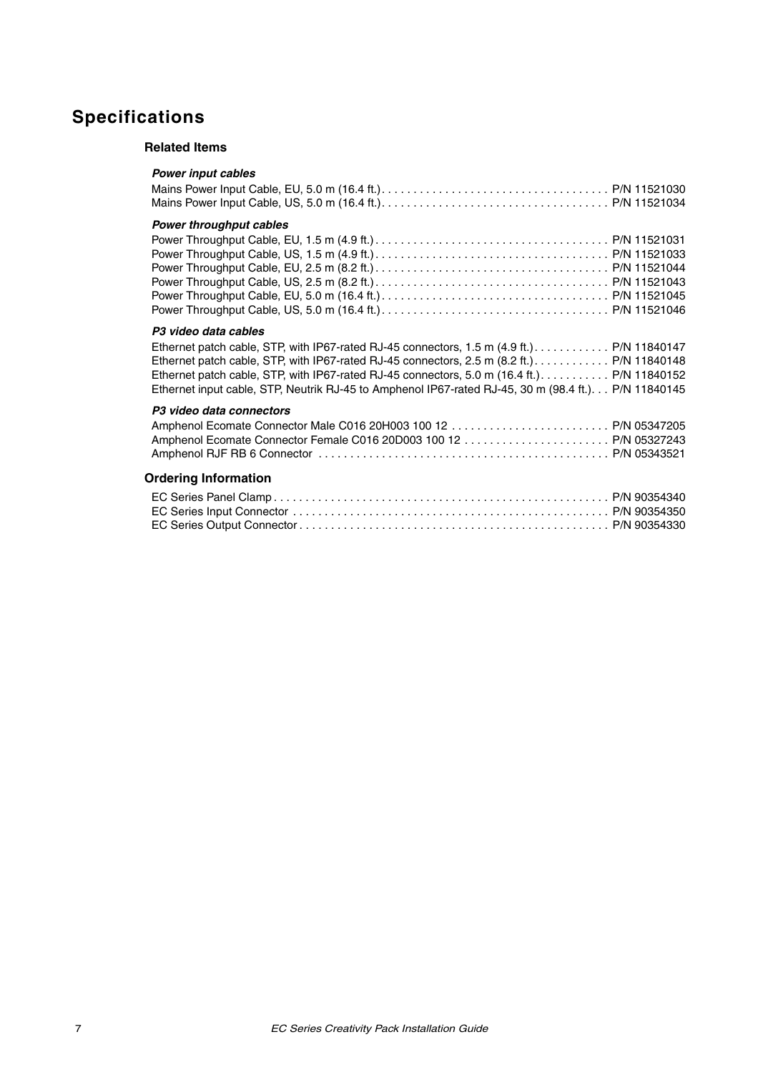# <span id="page-6-1"></span>**Specifications**

#### **Related Items**

<span id="page-6-3"></span><span id="page-6-2"></span><span id="page-6-0"></span>

| <b>Power throughput cables</b>                                                                       |
|------------------------------------------------------------------------------------------------------|
|                                                                                                      |
|                                                                                                      |
|                                                                                                      |
|                                                                                                      |
|                                                                                                      |
|                                                                                                      |
| P <sub>3</sub> video data cables                                                                     |
| Ethernet patch cable, STP, with IP67-rated RJ-45 connectors, 1.5 m (4.9 ft.). P/N 11840147           |
| Ethernet patch cable, STP, with IP67-rated RJ-45 connectors, 2.5 m (8.2 ft.). P/N 11840148           |
| Ethernet patch cable, STP, with IP67-rated RJ-45 connectors, 5.0 m (16.4 ft.). P/N 11840152          |
| Ethernet input cable, STP, Neutrik RJ-45 to Amphenol IP67-rated RJ-45, 30 m (98.4 ft.). P/N 11840145 |
| P <sub>3</sub> video data connectors                                                                 |
|                                                                                                      |
|                                                                                                      |
|                                                                                                      |
| <b>Ordering Information</b>                                                                          |
|                                                                                                      |
|                                                                                                      |
|                                                                                                      |